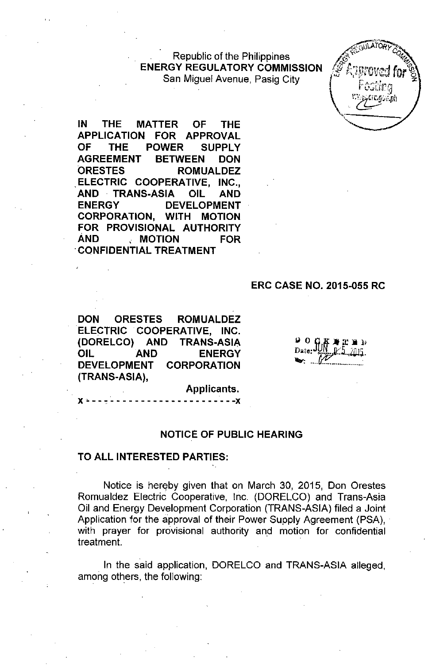Republic of the Philippines **ENERGY REGULATORY COMMISSION** San Miguel Avenue, Pasig City



**IN THE MATTER OF THE APPLICATION FOR APPROVAL OF THE POWER SUPPLY AGREEMENT BETWEEN DON ORESTES ROMUALDEZ ,ELECTRIC COOPERATIVE, INC., AND TRANS-ASIA OIL AND ENERGY DEVELOPMENT CORPORATION, WITH MOTION FOR PROVISIONAL AUTHORITY AND , MOTION FOR 'CONFIDENTIAL TREATMENT**

#### **ERC CASE NO. 2015-055 RC**

**DON ORESTES ROMUALDEZ ELECTRIC COOPERATIVE, INC. (DORELCO) AND TRANS-ASIA OIL AND ENERGY DEVELOPMENT CORPORATION (TRANS-ASIA),**

x • - - , - - - - - - - - - - - - - - - - - - - - **-x**

ם פ

Applicants.

#### **NOTICE OF PUBLIC HEARING**

#### **TO ALL INTERESTED PARTIES:**

Notice is hereby given that on March 30, 2015, Don Orestes Romualdez Electric Cooperative, Inc. (DORELCO) and Trans-Asia Oil and Energy Development Corporation (TRANS-ASIA) filed a Joint Application for the approval of their Power Supply Agreement (PSA), with prayer for provisional authority and motion for confidential treatment.

In the said application, DORELCO and TRANS-ASIA alleged, among others, the following: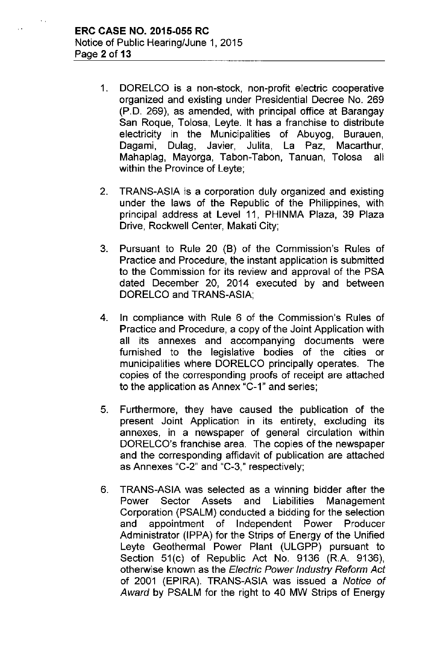- 1. DORELCO is a non-stock, non-profit electric cooperative organized and existing under Presidential Decree No. 269 (P.D. 269), as amended, with principal office at Barangay San Roque, Tolosa, Leyte. It has a franchise to distribute electricity in the Municipalities of Abuyog, Burauen, Dagami, Dulag, Javier, Julita, La Paz, Macarthur, Mahaplag, Mayorga, Tabon-Tabon, Tanuan, Tolosa all within the Province of Leyte;
- 2. TRANS-ASIA is a corporation duly organized and existing under the laws of the Republic of the Philippines, with principal address at Level **11,** PHINMA Plaza, 39 Plaza Drive, Rockwell Center, Makati City;
- 3. Pursuant to Rule 20 (B) of the Commission's Rules of Practice and Procedure, the instant application is submitted to the Commission for its review and approval of the PSA dated December 20, 2014 executed by and between DORELCO and TRANS-ASIA;
- 4. In compliance with Rule 6 of the Commission's Rules of Practice and Procedure, a copy of the Joint Application with all its annexes and accompanying documents were furnished to the legislative bodies of the cities or municipalities where DORELCO principally operates. The copies of the corresponding proofs of receipt are attached to the application as Annex "C-1" and series;
- 5. Furthermore, they have caused the publication of the present Joint Application in its entirety, excluding its annexes, in a newspaper of general circulation within DORELCO's franchise area. The copies of the newspaper and the corresponding affidavit of publication are attached as Annexes "C-2" and "C-3," respectively;
- 6. TRANS-ASIA was selected as a winning bidder after the Power Sector Assets and Liabilities Management Corporation (PSALM) conducted a bidding for the selection and appointment of Independent Power Producer Administrator (lPPA) for the Strips of Energy of the Unified Leyte Geothermal Power Plant (ULGPP) pursuant to Section 51(c) of Republic Act No. 9136 (R.A. 9136), otherwise known as the *Electric Power Industry Reform Act* of 2001 (EPIRA). TRANS-ASIA was issued a *Notice* of *Award* by PSALM for the right to 40 MW Strips of Energy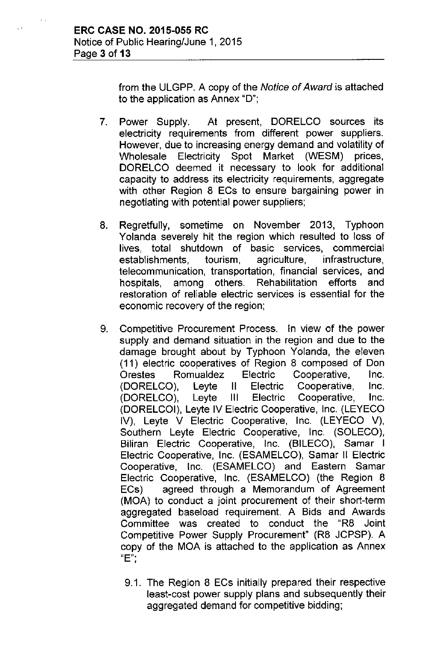$\mathbf{r}$ 

from the ULGPP. A copy of the *Notice of Award* is attached to the application as Annex "D";

- 7. Power Supply. At present, DORELCO sources its electricity requirements from different power suppliers. However, due to increasing energy demand and volatility of Wholesale Electricity Spot Market (WESM) prices, DORELCO deemed it necessary to look for additional capacity to address its electricity requirements, aggregate with other Region 8 ECs to ensure bargaining power in negotiating with potential power suppliers;
- 8. Regretfully, sometime on November 2013, Typhoon Yolanda severely hit the region which resulted to loss of lives, total shutdown of basic services, commercial establishments, tourism, agriculture, infrastructure, telecommunication, transportation, financial services, and hospitals, among others. Rehabilitation efforts and restoration of reliable electric services is essential for the economic recovery of the region;
- 9. Competitive Procurement Process. In view of the power supply and demand situation in the region and due to the damage brought about by Typhoon Yolanda, the eleven (11) electric cooperatives of Region 8 composed of Don Orestes Romualdez Electric Cooperative, Inc. (DORELCO), Leyte II Electric Cooperative, Inc. (DORELCO), Leyte III Electric Cooperative, Inc. (DORELCOI), Leyte IV Electric Cooperative, Inc. (LEYECO IV), Leyte V Electric Cooperative, Inc. (LEYECO V), Southern Leyte Electric Cooperative, Inc (SOLECO), Biliran Electric Cooperative, Inc. (BILECO), Samar I Electric Cooperative, Inc. (ESAMELCO), Samar II Electric Cooperative, Inc. (ESAMELCO) and Eastern Samar Electric Cooperative, Inc. (ESAMELCO) (the Region 8 ECs) agreed through a Memorandum of Agreement (MOA) to conduct a joint procurement of their short-term aggregated baseload requirement. A Bids and Awards Committee was created to conduct the "R8 Joint Competitive Power Supply Procurement" (R8 JCPSP). A copy of the MOA is attached to the application as Annex **"E".**,
	- 9.1. The Region 8 ECs initially prepared their respective least-cost power supply plans and subsequently their aggregated demand for competitive bidding;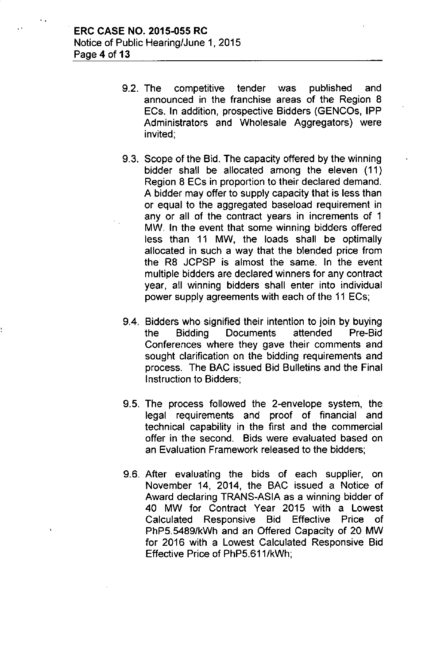- 9.2. The competitive tender was published and announced in the franchise areas of the Region 8 ECs. **In** addition, prospective Bidders (GENCOs, **IPP** Administrators and Wholesale Aggregators) were invited;
- 9.3. Scope of the Bid. The capacity offered by the winning bidder shall be allocated among the eleven (11) Region 8 ECs in proportion to their declared demand. A bidder may offer to supply capacity that is less than or equal to the aggregated baseload requirement in any or all of the contract years in increments of 1 MW. **In** the event that some winning bidders offered less than 11 MW, the loads shall be optimally allocated in such a way that the blended price from the R8 JCPSP is almost the same. In the event multiple bidders are declared winners for any contract year, all winning bidders shall enter into individual power supply agreements with each of the 11 ECs;
- 9.4. Bidders who signified their intention to join by buying the Bidding Documents attended Pre-Bid Conferences where they gave their comments and sought clarification on the bidding requirements and process. The BAC issued Bid Bulletins and the Final Instruction to Bidders;
- 9.5. The process followed the 2-envelope system, the legal requirements and proof of financial and technical capability in the first and the commercial offer in the second. Bids were evaluated based on an Evaluation Framework released to the bidders;
- 9.6. After evaluating the bids of each supplier, on November 14, 2014, the BAC issued a Notice of Award declaring TRANS-ASIA as a winning bidder of 40 MW for Contract Year 2015 with a Lowest Calculated Responsive Bid Effective Price of PhP5.5489/kWh and an Offered Capacity of 20 MW for 2016 with a Lowest Calculated Responsive Bid Effective Price of PhP5.611/kWh;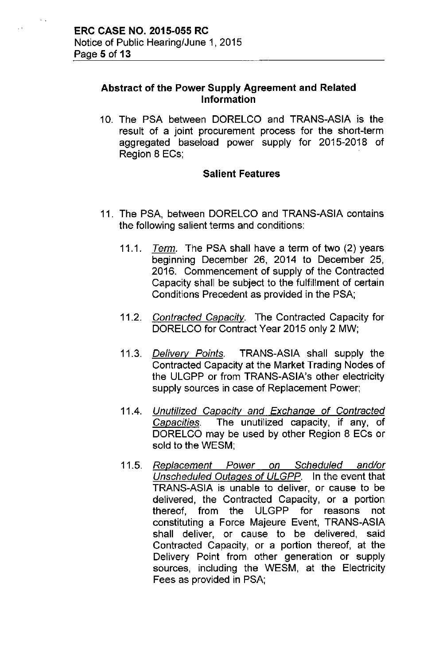$\sim$ 

### Abstract of the Power Supply Agreement and Related Information

10. The PSA between DORELCO and TRANS-ASIA is the result of a joint procurement process for the short-term aggregated baseload power supply for 2015-2018 of Region 8 ECs;

### Salient Features

- 11. The PSA, between DORELCO and TRANS-ASIA contains the following salient terms and conditions:
	- *11.1. Term.* The PSA shall have a term of two (2) years beginning December 26, 2014 to December 25, 2016. Commencement of supply of the Contracted Capacity shall be subject to the fulfillment of certain Conditions Precedent as provided in the PSA;
	- *11.2. Contracted Capacitv.* The Contracted Capacity for DORELCO for Contract Year 2015 only 2 MW;
	- *11.3. Delivery Points.* TRANS-ASIA shall supply the Contracted Capacity at the Market Trading Nodes of the ULGPP or from TRANS-ASIA's other electricity supply sources in case of Replacement Power;
	- 11 .4. *Unutilized Capacity and Exchange of Contracted Capacities.* The unutilized capacity, if any, of DORELCO may be used by other Region 8 ECs or sold to the WESM;
	- *11.5. Replacement Power on Scheduled and/or Unscheduled Outages of ULGPP.* In the event that TRANS-ASIA is unable to deliver, or cause to be delivered, the Contracted Capacity, or a portion thereof, from the ULGPP for reasons not constituting a Force Majeure Event, TRANS-ASIA shall deliver, or cause to be delivered, said Contracted Capacity, or a portion thereof, at the Delivery Point from other generation or supply sources, including the WESM, at the Electricity Fees as provided in PSA;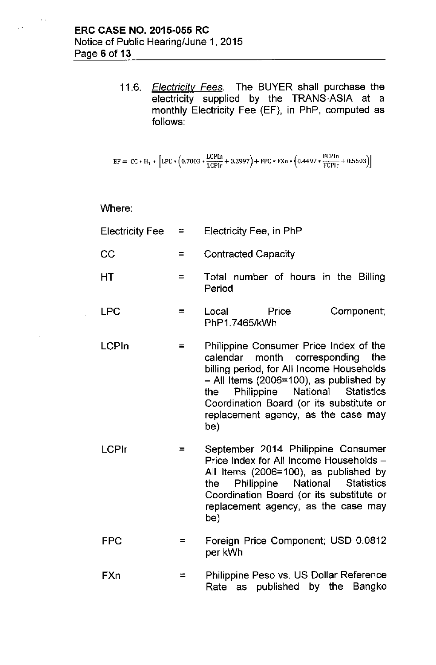*11.6. Electricitv Fees.* The BUYER shall purchase the electricity supplied by the TRANS-ASIA at a monthly Electricity Fee (EF), in PhP, computed as follows:

$$
EF = CC * H_T * [LPC * (0.7003 * \frac{LCPIn}{LCPIr} + 0.2997) + FPC * FXn * (0.4497 * \frac{FCPin}{FCPIr} + 0.5503)]
$$

Where:

 $\ddotsc$ 

- Electricity Fee  $=$ Electricity Fee, in PhP
- $CC =$ Contracted Capacity
- $HT = Total number of hours in the Billing$ Period
- $LPC =$   $=$   $Local$  Price PhP1.7465/kWh Component;
- LCPln = Philippine Consumer Price Index of the calendar month corresponding the billing period, for All Income Households - All Items (2006=100), as published by the Philippine National Statistics Coordination Board (or its substitute or replacement agency, as the case may be)
- LCPlr = September 2014 Philippine Consumer Price Index for All Income Households -All Items (2006=100), as published by the Philippine National Statistics Coordination Board (or its substitute or replacement agency, as the case may be)
	- FPC = Foreign Price Component; USD 0.0812 per kWh
	- FXn  $=$ Philippine Peso vs. US Dollar Reference Rate as published by the Bangko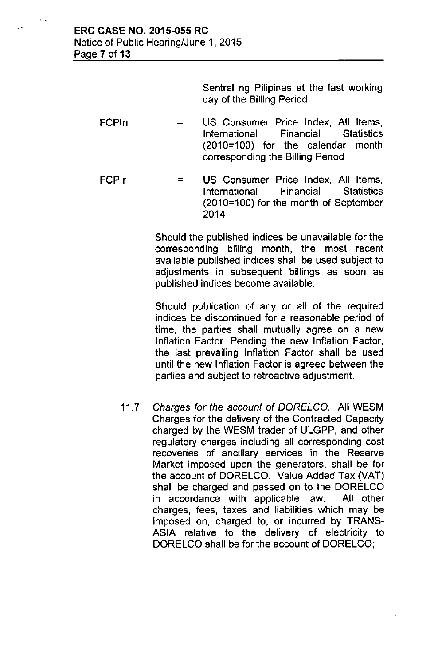..

Sentral ng Pilipinas at the last working day of the Billing Period

- FCPln = US Consumer Price Index, All Items, International Financial Statistics (2010=100) for the calendar month corresponding the Billing Period
- FCPlr = US Consumer Price Index, All Items, International Financial Statistics (2010=100) for the month of September 2014

Should the published indices be unavailable for the corresponding billing month, the most recent available published indices shall be used subject to adjustments in subsequent billings as soon as published indices become available.

Should publication of any or all of the required indices be discontinued for a reasonable period of time, the parties shall mutually agree on a new Inflation Factor. Pending the new Inflation Factor, the last prevailing Inflation Factor shall be used until the new Inflation Factor is agreed between the parties and subject to retroactive adjustment.

*11.7. Charges for the account* of *DORELCo.* All WESM Charges for the delivery of the Contracted Capacity charged by the WESM trader of ULGPP, and other regulatory charges including all corresponding cost recoveries of ancillary services in the Reserve Market imposed upon the generators, shall be for the account of DORELCO. Value Added Tax (VAT) shall be charged and passed on to the DORELCO in accordance with applicable law. All other charges, fees, taxes and liabilities which may be imposed on, charged to, or incurred by TRANS-ASIA relative to the delivery of electricity to DORELCO shall be for the account of DORELCO;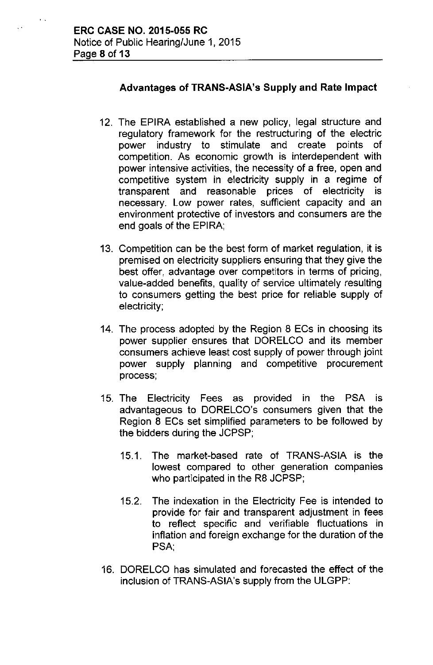$\ddot{\phantom{a}}$ 

## Advantages of TRANS-ASiA's Supply and Rate Impact

- 12. The EPIRA established a new policy, legal structure and regulatory framework for the restructuring of the electric power industry to stimulate and create points of competition. As economic growth is interdependent with power intensive activities, the necessity of a free, open and competitive system in electricity supply in a regime of transparent and reasonable prices of electricity is necessary. Low power rates, sufficient capacity and an environment protective of investors and consumers are the end goals of the EPIRA;
- 13. Competition can be the best form of market regulation, it is premised on electricity suppliers ensuring that they give the best offer, advantage over competitors in terms of pricing, value-added benefits, quality of service ultimately resulting to consumers getting the best price for reliable supply of electricity;
- 14. The process adopted by the Region 8 ECs in choosing its power supplier ensures that DORELCO and its member consumers achieve least cost supply of power through joint power supply planning and competitive procurement process;
- 15. The Electricity Fees as provided in the PSA is advantageous to DORELCO's consumers given that the Region 8 ECs set simplified parameters to be followed by the bidders during the JCPSP;
	- 15.1. The market-based rate of TRANS-ASIA is the lowest compared to other generation companies who participated in the R8 JCPSP;
	- 15.2. The indexation in the Electricity Fee is intended to provide for fair and transparent adjustment in fees to reflect specific and verifiable fluctuations in inflation and foreign exchange for the duration of the PSA,
- 16. DORELCO has simulated and forecasted the effect of the inclusion of TRANS-ASiA's supply from the ULGPP: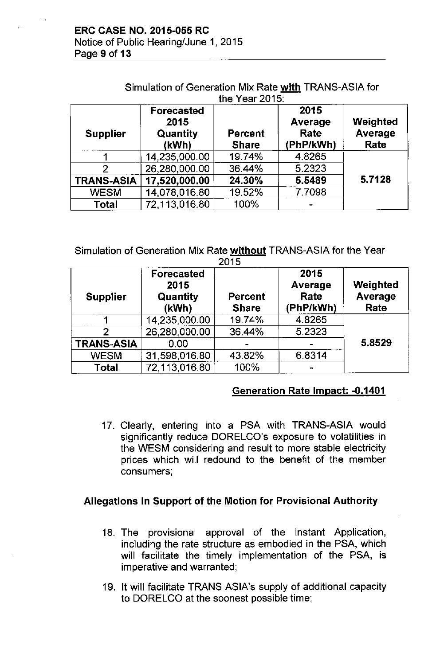Notice of Public Hearing/June 1, 2015 Page 9 of 13

| the Year 2015:    |                                         |                                |                                      |                             |  |  |
|-------------------|-----------------------------------------|--------------------------------|--------------------------------------|-----------------------------|--|--|
| <b>Supplier</b>   | Forecasted<br>2015<br>Quantity<br>(kWh) | <b>Percent</b><br><b>Share</b> | 2015<br>Average<br>Rate<br>(PhP/kWh) | Weighted<br>Average<br>Rate |  |  |
|                   | 14,235,000.00                           | 19.74%                         | 4.8265                               |                             |  |  |
| $\overline{2}$    | 26,280,000.00                           | 36.44%                         | 5.2323                               |                             |  |  |
| <b>TRANS-ASIA</b> | 17,520,000.00                           | 24.30%                         | 5.5489                               | 5.7128                      |  |  |
| <b>WESM</b>       | 14,078,016.80                           | 19.52%                         | 7.7098                               |                             |  |  |
| Total             | 72,113,016.80                           | 100%                           |                                      |                             |  |  |

Simulation of Generation Mix Rate with TRANS-ASIA for

Simulation of Generation Mix Rate without TRANS-ASIA for the Year 2015

| <b>Supplier</b>   | <b>Forecasted</b><br>2015<br><b>Quantity</b><br>(kWh) | <b>Percent</b><br><b>Share</b> | 2015<br>Average<br>Rate<br>(PhP/kWh) | Weighted<br>Average<br>Rate |
|-------------------|-------------------------------------------------------|--------------------------------|--------------------------------------|-----------------------------|
|                   | 14,235,000.00                                         | 19.74%                         | 4.8265                               |                             |
|                   | 26,280,000.00                                         | 36.44%                         | 5.2323                               |                             |
| <b>TRANS-ASIA</b> | 0.00                                                  |                                |                                      | 5.8529                      |
| <b>WESM</b>       | 31,598,016.80                                         | 43.82%                         | 6.8314                               |                             |
| Total             | 72,113,016.80                                         | 100%                           |                                      |                             |

# Generation Rate Impact: -0.1401

17. Clearly, entering into a PSA with TRANS-ASIA would significantly reduce DORELCO's exposure to volatilities in the WESM considering and result to more stable electricity prices which will redound to the benefit of the member consumers;

## Allegations in Support of the Motion for Provisional Authority

- 18. The provisional approval of the instant Application, including the rate structure as embodied in the PSA, which will facilitate the timely implementation of the PSA, is imperative and warranted;
- 19. It will facilitate TRANS ASIA's supply of additional capacity to DORELCO at the soonest possible time;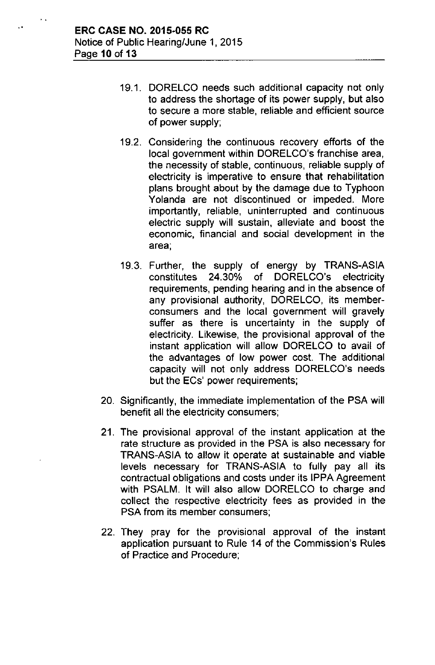- 19.1. DORELCO needs such additional capacity not only to address the shortage of its power supply, but also to secure a more stable, reliable and efficient source of power supply;
- 19.2. Considering the continuous recovery efforts of the local government within DORELCO's franchise area, the necessity of stable, continuous, reliable supply of electricity is imperative to ensure that rehabilitation plans brought about by the damage due to Typhoon Yolanda are not discontinued or impeded. More importantly, reliable, uninterrupted and continuous electric supply will sustain, alleviate and boost the economic, financial and social development in the area;
- 19.3. Further, the supply of energy by TRANS-ASIA constitutes 24.30% of DORELCO's electricity requirements, pending hearing and in the absence of any provisional authority, DORELCO, its memberconsumers and the local government will gravely suffer as there is uncertainty in the supply of electricity. Likewise, the provisional approval of the instant application will allow DORELCO to avail of the advantages of low power cost. The additional capacity will not only address DORELCO's needs but the ECs' power requirements;
- 20. Significantly, the immediate implementation of the PSA will benefit all the electricity consumers;
- 21. The provisional approval of the instant application at the rate structure as provided in the PSA is also necessary for TRANS-ASIA to allow it operate at sustainable and viable levels necessary for TRANS-ASIA to fully pay all its contractual obligations and costs under its IPPA Agreement with PSALM. It will also allow DORELCO to charge and collect the respective electricity fees as provided in the PSA from its member consumers;
- 22. They pray for the provisional approval of the instant application pursuant to Rule 14 of the Commission's Rules of Practice and Procedure;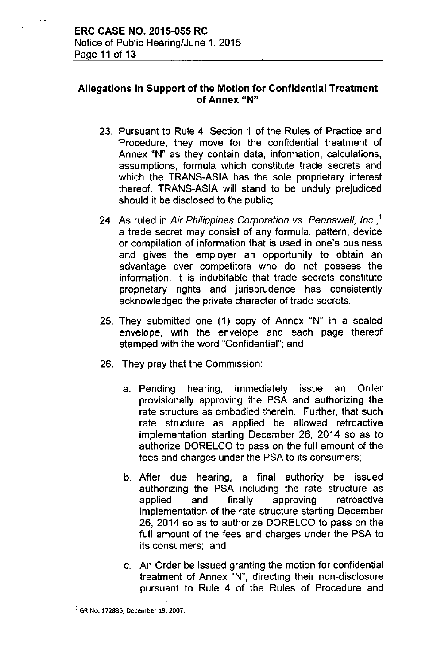## Allegations in Support of the Motion for Confidential Treatment of Annex "N"

- 23. Pursuant to Rule 4, Section 1 of the Rules of Practice and Procedure, they move for the confidential treatment of Annex "N" as they contain data, information, calculations, assumptions, formula which constitute trade secrets and which the TRANS-ASIA has the sole proprietary interest thereof. TRANS-ASIA will stand to be unduly prejudiced should it be disclosed to the public;
- 24. As ruled in *Air Philippines Corporation* vs. *Pennswell, Inc.,'* a trade secret may consist of any formula, pattern, device or compilation of information that is used in one's business and gives the employer an opportunity to obtain an advantage over competitors who do not possess the information. It is indubitable that trade secrets constitute proprietary rights and jurisprudence has consistently acknowledged the private character of trade secrets;
- 25. They submitted one (1) copy of Annex "N" in a sealed envelope, with the envelope and each page thereof stamped with the word "Confidential"; and
- 26. They pray that the Commission:
	- a. Pending hearing, immediately issue an Order provisionally approving the PSA and authorizing the rate structure as embodied therein. Further, that such rate structure as applied be allowed retroactive implementation starting December 26, 2014 so as to authorize DORELCO to pass on the full amount of the fees and charges under the PSA to its consumers;
	- b. After due hearing, a final authority be issued authorizing the PSA including the rate structure as applied and finally approving retroactive implementation of the rate structure starting December 26, 2014 so as to authorize DORELCO to pass on the full amount of the fees and charges under the PSA to its consumers; and
	- c. An Order be issued granting the motion for confidential treatment of Annex "N", directing their non-disclosure pursuant to Rule 4 of the Rules of Procedure and

<sup>1</sup>GR No. 172835, December 19, 2007.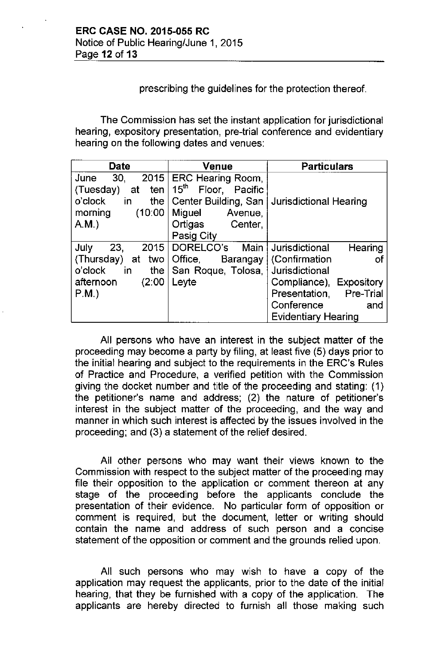## prescribing the guidelines for the protection thereof.

The Commission has set the instant application for jurisdictional hearing, expository presentation, pre-trial conference and evidentiary hearing on the following dates and venues:

| <b>Date</b>                                                                                                     | <b>Venue</b>                                                                                                                             | <b>Particulars</b>                                                                                                                                                          |  |
|-----------------------------------------------------------------------------------------------------------------|------------------------------------------------------------------------------------------------------------------------------------------|-----------------------------------------------------------------------------------------------------------------------------------------------------------------------------|--|
| 30,<br>2015<br>June<br>(Tuesday)<br>at<br>ten<br>o'clock<br>the I<br>in<br>(10:00)<br>morning<br>A.M.           | ERC Hearing Room,<br>$15^{\text{th}}$<br>Floor, Pacific<br>Center Building, San<br>Miguel<br>Avenue,<br>Ortigas<br>Center,<br>Pasig City | <b>Jurisdictional Hearing</b>                                                                                                                                               |  |
| July<br>23,<br>2015<br>(Thursday)<br>two l<br>at<br>o'clock<br>the $\vert$<br>in<br>(2:00)<br>afternoon<br>P.M. | DORELCO's<br>Main<br>Office, Barangay<br>San Roque, Tolosa,<br>Leyte                                                                     | Jurisdictional<br>Hearing<br>(Confirmation<br>οt<br>Jurisdictional<br>Compliance), Expository<br>Presentation, Pre-Trial<br>Conference<br>and<br><b>Evidentiary Hearing</b> |  |

All persons who have an interest in the subject matter of the proceeding may become a party by filing, at least five (5) days prior to the initial hearing and subject to the requirements in the ERC's Rules of Practice and Procedure, a verified petition with the Commission giving the docket number and title of the proceeding and stating: (1) the petitioner's name and address; (2) the nature of petitioner's interest in the subject matter of the proceeding, and the way and manner in which such interest is affected by the issues involved in the proceeding; and (3) a statement of the relief desired.

All other persons who may want their views known to the Commission with respect to the subject matter of the proceeding may file their opposition to the application or comment thereon at any stage of the proceeding before the applicants conclude the presentation of their evidence. No particular form of opposition or comment is required, but the document, letter or writing should contain the name and address of such person and a concise statement of the opposition or comment and the grounds relied upon.

All such persons who may wish to have a copy of the application may request the applicants, prior to the date of the initial hearing, that they be furnished with a copy of the application. The applicants are hereby directed to furnish all those making such